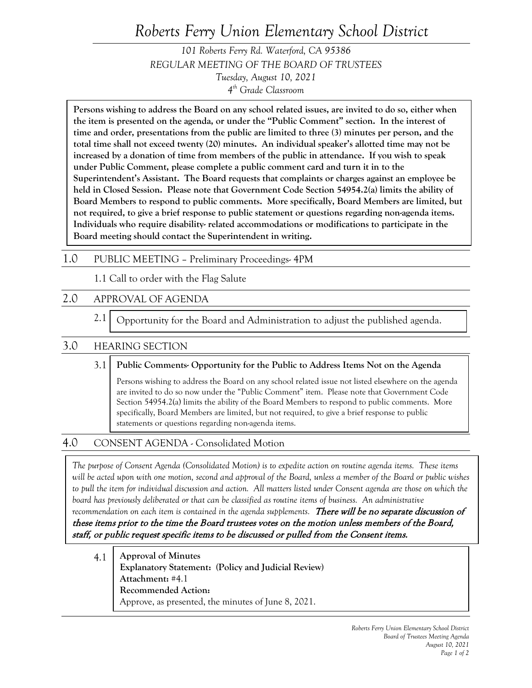# *Roberts Ferry Union Elementary School District*

*101 Roberts Ferry Rd. Waterford, CA 95386 REGULAR MEETING OF THE BOARD OF TRUSTEES Tuesday, August 10, 2021 4th Grade Classroom*

**Persons wishing to address the Board on any school related issues, are invited to do so, either when the item is presented on the agenda, or under the "Public Comment" section. In the interest of time and order, presentations from the public are limited to three (3) minutes per person, and the total time shall not exceed twenty (20) minutes. An individual speaker's allotted time may not be increased by a donation of time from members of the public in attendance. If you wish to speak under Public Comment, please complete a public comment card and turn it in to the Superintendent's Assistant. The Board requests that complaints or charges against an employee be held in Closed Session. Please note that Government Code Section 54954.2(a) limits the ability of Board Members to respond to public comments. More specifically, Board Members are limited, but not required, to give a brief response to public statement or questions regarding non-agenda items. Individuals who require disability- related accommodations or modifications to participate in the Board meeting should contact the Superintendent in writing.**

### 1.0 PUBLIC MEETING – Preliminary Proceedings- 4PM

1.1 Call to order with the Flag Salute

# 2.0 APPROVAL OF AGENDA

2.1 Opportunity for the Board and Administration to adjust the published agenda.

## 3.0 HEARING SECTION

#### 3.1 **Public Comments- Opportunity for the Public to Address Items Not on the Agenda**

Persons wishing to address the Board on any school related issue not listed elsewhere on the agenda are invited to do so now under the "Public Comment" item. Please note that Government Code Section 54954.2(a) limits the ability of the Board Members to respond to public comments. More specifically, Board Members are limited, but not required, to give a brief response to public statements or questions regarding non-agenda items.

# 4.0 CONSENT AGENDA - Consolidated Motion

*The purpose of Consent Agenda (Consolidated Motion) is to expedite action on routine agenda items. These items will be acted upon with one motion, second and approval of the Board, unless a member of the Board or public wishes*  to pull the item for individual discussion and action. All matters listed under Consent agenda are those on which the *board has previously deliberated or that can be classified as routine items of business. An administrative*  recommendation on each item is contained in the agenda supplements. **There will be no separate discussion of** 

these items prior to the time the Board trustees votes on the motion unless members of the Board, staff, or public request specific items to be discussed or pulled from the Consent items.

4.1 **Approval of Minutes Explanatory Statement: (Policy and Judicial Review) Attachment:** #4.1 **Recommended Action:** Approve, as presented, the minutes of June 8, 2021.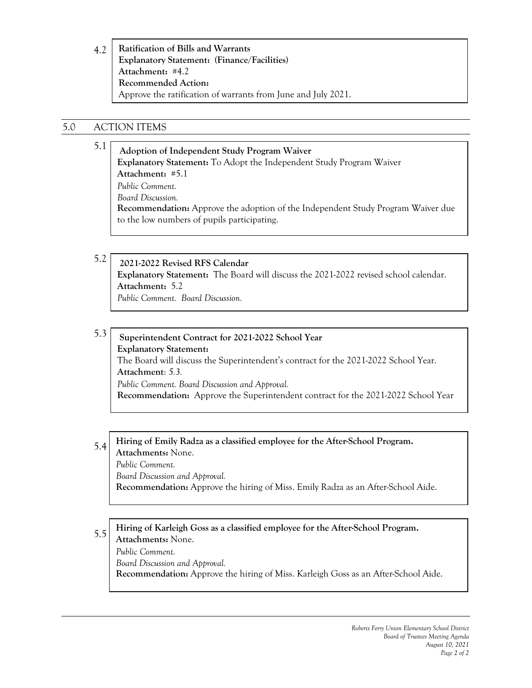4.2 **Ratification of Bills and Warrants Explanatory Statement: (Finance/Facilities) Attachment:** #4.2 **Recommended Action:** Approve the ratification of warrants from June and July 2021.

# 5.0 ACTION ITEMS

#### 5.1 **Adoption of Independent Study Program Waiver Explanatory Statement:** To Adopt the Independent Study Program Waiver **Attachment:** #5.1 *Public Comment. Board Discussion.* **Recommendation:** Approve the adoption of the Independent Study Program Waiver due to the low numbers of pupils participating.

5.2 **2021-2022 Revised RFS Calendar Explanatory Statement:** The Board will discuss the 2021-2022 revised school calendar. **Attachment:** 5.2 *Public Comment. Board Discussion.*

5.3 **Superintendent Contract for 2021-2022 School Year Explanatory Statement:**  The Board will discuss the Superintendent's contract for the 2021-2022 School Year. **Attachment**: *5.3. Public Comment. Board Discussion and Approval.* **Recommendation:** Approve the Superintendent contract for the 2021-2022 School Year

5.4 **Hiring of Emily Radza as a classified employee for the After-School Program. Attachments:** None. *Public Comment. Board Discussion and Approval.*

**Recommendation:** Approve the hiring of Miss. Emily Radza as an After-School Aide.

#### 5.5 **Hiring of Karleigh Goss as a classified employee for the After-School Program. Attachments:** None. *Public Comment. Board Discussion and Approval.* **Recommendation:** Approve the hiring of Miss. Karleigh Goss as an After-School Aide.